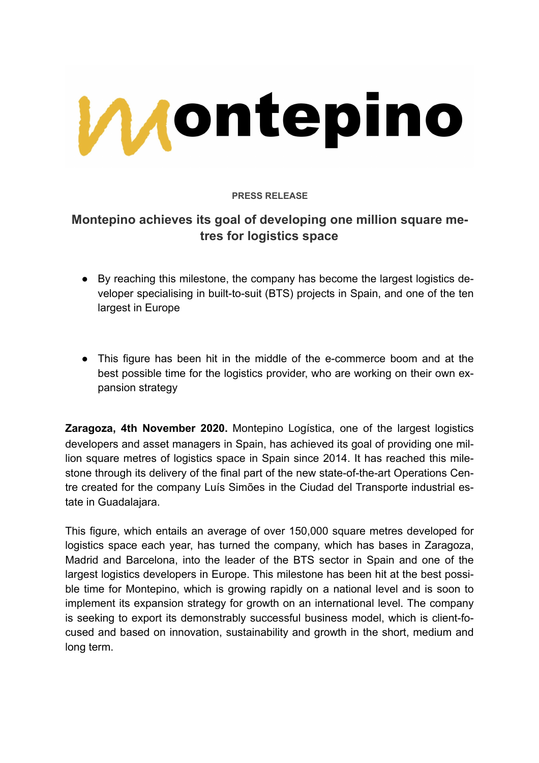

## **PRESS RELEASE**

# **Montepino achieves its goal of developing one million square metres for logistics space**

- By reaching this milestone, the company has become the largest logistics developer specialising in built-to-suit (BTS) projects in Spain, and one of the ten largest in Europe
- This figure has been hit in the middle of the e-commerce boom and at the best possible time for the logistics provider, who are working on their own expansion strategy

**Zaragoza, 4th November 2020.** Montepino Logística, one of the largest logistics developers and asset managers in Spain, has achieved its goal of providing one million square metres of logistics space in Spain since 2014. It has reached this milestone through its delivery of the final part of the new state-of-the-art Operations Centre created for the company Luís Simões in the Ciudad del Transporte industrial estate in Guadalajara.

This figure, which entails an average of over 150,000 square metres developed for logistics space each year, has turned the company, which has bases in Zaragoza, Madrid and Barcelona, into the leader of the BTS sector in Spain and one of the largest logistics developers in Europe. This milestone has been hit at the best possible time for Montepino, which is growing rapidly on a national level and is soon to implement its expansion strategy for growth on an international level. The company is seeking to export its demonstrably successful business model, which is client-focused and based on innovation, sustainability and growth in the short, medium and long term.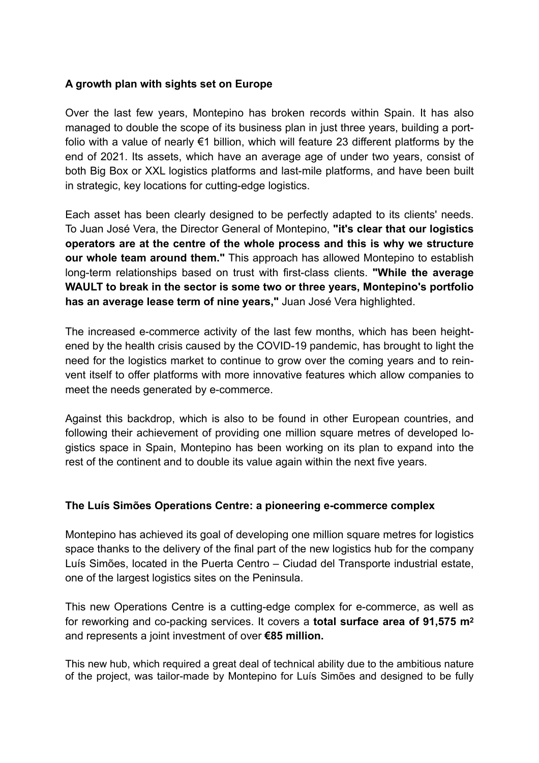## **A growth plan with sights set on Europe**

Over the last few years, Montepino has broken records within Spain. It has also managed to double the scope of its business plan in just three years, building a portfolio with a value of nearly €1 billion, which will feature 23 different platforms by the end of 2021. Its assets, which have an average age of under two years, consist of both Big Box or XXL logistics platforms and last-mile platforms, and have been built in strategic, key locations for cutting-edge logistics.

Each asset has been clearly designed to be perfectly adapted to its clients' needs. To Juan José Vera, the Director General of Montepino, **"it's clear that our logistics operators are at the centre of the whole process and this is why we structure our whole team around them."** This approach has allowed Montepino to establish long-term relationships based on trust with first-class clients. **"While the average WAULT to break in the sector is some two or three years, Montepino's portfolio has an average lease term of nine years,"** Juan José Vera highlighted.

The increased e-commerce activity of the last few months, which has been heightened by the health crisis caused by the COVID-19 pandemic, has brought to light the need for the logistics market to continue to grow over the coming years and to reinvent itself to offer platforms with more innovative features which allow companies to meet the needs generated by e-commerce.

Against this backdrop, which is also to be found in other European countries, and following their achievement of providing one million square metres of developed logistics space in Spain, Montepino has been working on its plan to expand into the rest of the continent and to double its value again within the next five years.

#### **The Luís Simões Operations Centre: a pioneering e-commerce complex**

Montepino has achieved its goal of developing one million square metres for logistics space thanks to the delivery of the final part of the new logistics hub for the company Luís Simões, located in the Puerta Centro – Ciudad del Transporte industrial estate, one of the largest logistics sites on the Peninsula.

This new Operations Centre is a cutting-edge complex for e-commerce, as well as for reworking and co-packing services. It covers a **total surface area of 91,575 m2** and represents a joint investment of over **€85 million.**

This new hub, which required a great deal of technical ability due to the ambitious nature of the project, was tailor-made by Montepino for Luís Simões and designed to be fully